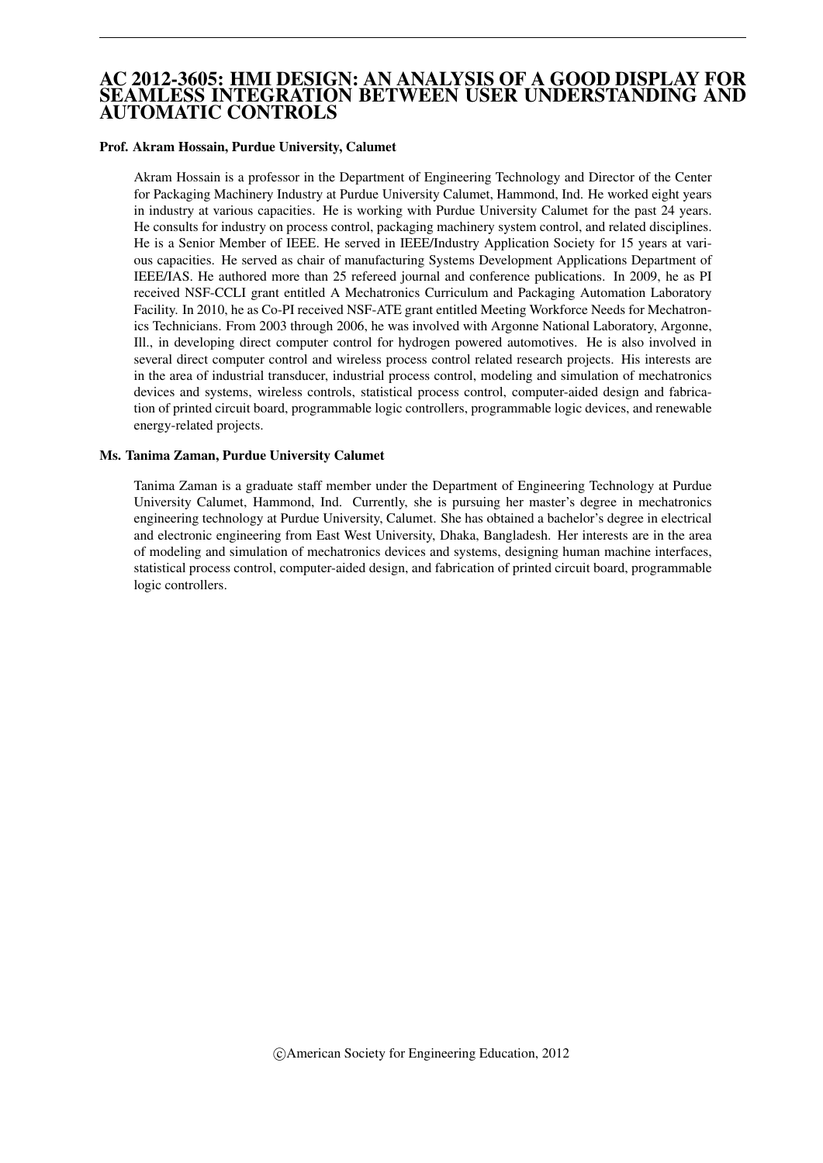# AC 2012-3605: HMI DESIGN: AN ANALYSIS OF A GOOD DISPLAY FOR SEAMLESS INTEGRATION BETWEEN USER UNDERSTANDING AND AUTOMATIC CONTROLS

### Prof. Akram Hossain, Purdue University, Calumet

Akram Hossain is a professor in the Department of Engineering Technology and Director of the Center for Packaging Machinery Industry at Purdue University Calumet, Hammond, Ind. He worked eight years in industry at various capacities. He is working with Purdue University Calumet for the past 24 years. He consults for industry on process control, packaging machinery system control, and related disciplines. He is a Senior Member of IEEE. He served in IEEE/Industry Application Society for 15 years at various capacities. He served as chair of manufacturing Systems Development Applications Department of IEEE/IAS. He authored more than 25 refereed journal and conference publications. In 2009, he as PI received NSF-CCLI grant entitled A Mechatronics Curriculum and Packaging Automation Laboratory Facility. In 2010, he as Co-PI received NSF-ATE grant entitled Meeting Workforce Needs for Mechatronics Technicians. From 2003 through 2006, he was involved with Argonne National Laboratory, Argonne, Ill., in developing direct computer control for hydrogen powered automotives. He is also involved in several direct computer control and wireless process control related research projects. His interests are in the area of industrial transducer, industrial process control, modeling and simulation of mechatronics devices and systems, wireless controls, statistical process control, computer-aided design and fabrication of printed circuit board, programmable logic controllers, programmable logic devices, and renewable energy-related projects.

#### Ms. Tanima Zaman, Purdue University Calumet

Tanima Zaman is a graduate staff member under the Department of Engineering Technology at Purdue University Calumet, Hammond, Ind. Currently, she is pursuing her master's degree in mechatronics engineering technology at Purdue University, Calumet. She has obtained a bachelor's degree in electrical and electronic engineering from East West University, Dhaka, Bangladesh. Her interests are in the area of modeling and simulation of mechatronics devices and systems, designing human machine interfaces, statistical process control, computer-aided design, and fabrication of printed circuit board, programmable logic controllers.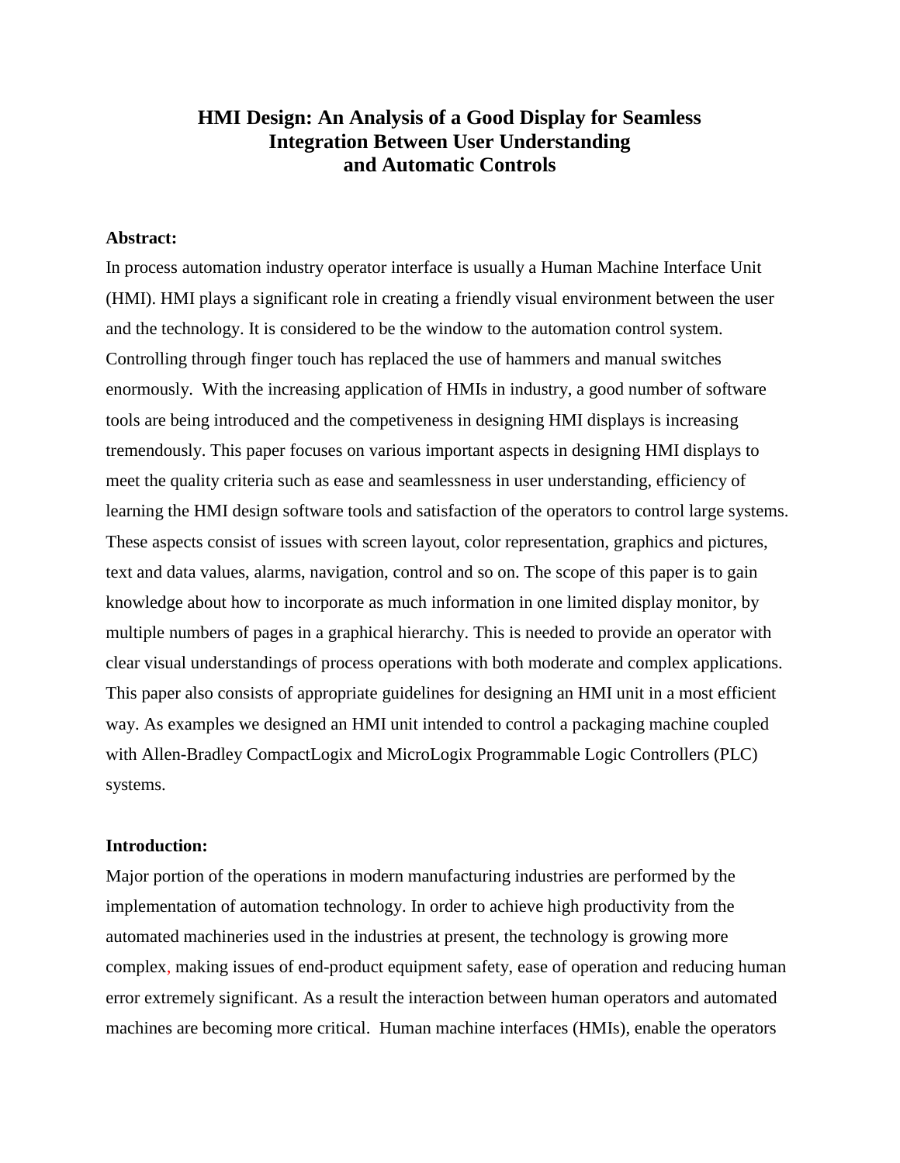# **HMI Design: An Analysis of a Good Display for Seamless Integration Between User Understanding and Automatic Controls**

### **Abstract:**

In process automation industry operator interface is usually a Human Machine Interface Unit (HMI). HMI plays a significant role in creating a friendly visual environment between the user and the technology. It is considered to be the window to the automation control system. Controlling through finger touch has replaced the use of hammers and manual switches enormously. With the increasing application of HMIs in industry, a good number of software tools are being introduced and the competiveness in designing HMI displays is increasing tremendously. This paper focuses on various important aspects in designing HMI displays to meet the quality criteria such as ease and seamlessness in user understanding, efficiency of learning the HMI design software tools and satisfaction of the operators to control large systems. These aspects consist of issues with screen layout, color representation, graphics and pictures, text and data values, alarms, navigation, control and so on. The scope of this paper is to gain knowledge about how to incorporate as much information in one limited display monitor, by multiple numbers of pages in a graphical hierarchy. This is needed to provide an operator with clear visual understandings of process operations with both moderate and complex applications. This paper also consists of appropriate guidelines for designing an HMI unit in a most efficient way. As examples we designed an HMI unit intended to control a packaging machine coupled with Allen-Bradley CompactLogix and MicroLogix Programmable Logic Controllers (PLC) systems.

### **Introduction:**

Major portion of the operations in modern manufacturing industries are performed by the implementation of automation technology. In order to achieve high productivity from the automated machineries used in the industries at present, the technology is growing more complex, making issues of end-product equipment safety, ease of operation and reducing human error extremely significant. As a result the interaction between human operators and automated machines are becoming more critical. Human machine interfaces (HMIs), enable the operators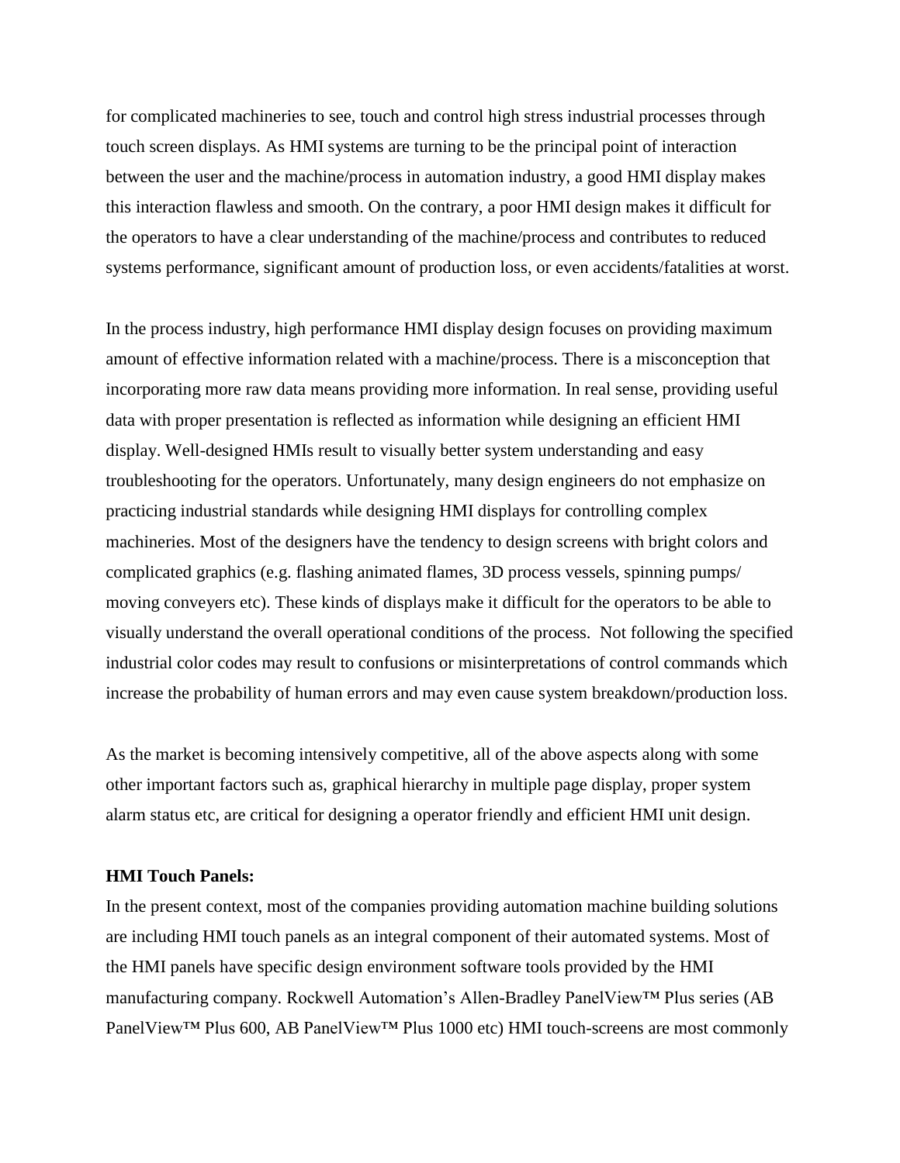for complicated machineries to see, touch and control high stress industrial processes through touch screen displays. As HMI systems are turning to be the principal point of interaction between the user and the machine/process in automation industry, a good HMI display makes this interaction flawless and smooth. On the contrary, a poor HMI design makes it difficult for the operators to have a clear understanding of the machine/process and contributes to reduced systems performance, significant amount of production loss, or even accidents/fatalities at worst.

In the process industry, high performance HMI display design focuses on providing maximum amount of effective information related with a machine/process. There is a misconception that incorporating more raw data means providing more information. In real sense, providing useful data with proper presentation is reflected as information while designing an efficient HMI display. Well-designed HMIs result to visually better system understanding and easy troubleshooting for the operators. Unfortunately, many design engineers do not emphasize on practicing industrial standards while designing HMI displays for controlling complex machineries. Most of the designers have the tendency to design screens with bright colors and complicated graphics (e.g. flashing animated flames, 3D process vessels, spinning pumps/ moving conveyers etc). These kinds of displays make it difficult for the operators to be able to visually understand the overall operational conditions of the process. Not following the specified industrial color codes may result to confusions or misinterpretations of control commands which increase the probability of human errors and may even cause system breakdown/production loss.

As the market is becoming intensively competitive, all of the above aspects along with some other important factors such as, graphical hierarchy in multiple page display, proper system alarm status etc, are critical for designing a operator friendly and efficient HMI unit design.

### **HMI Touch Panels:**

In the present context, most of the companies providing automation machine building solutions are including HMI touch panels as an integral component of their automated systems. Most of the HMI panels have specific design environment software tools provided by the HMI manufacturing company. Rockwell Automation's Allen-Bradley PanelView™ Plus series (AB PanelView™ Plus 600, AB PanelView™ Plus 1000 etc) HMI touch-screens are most commonly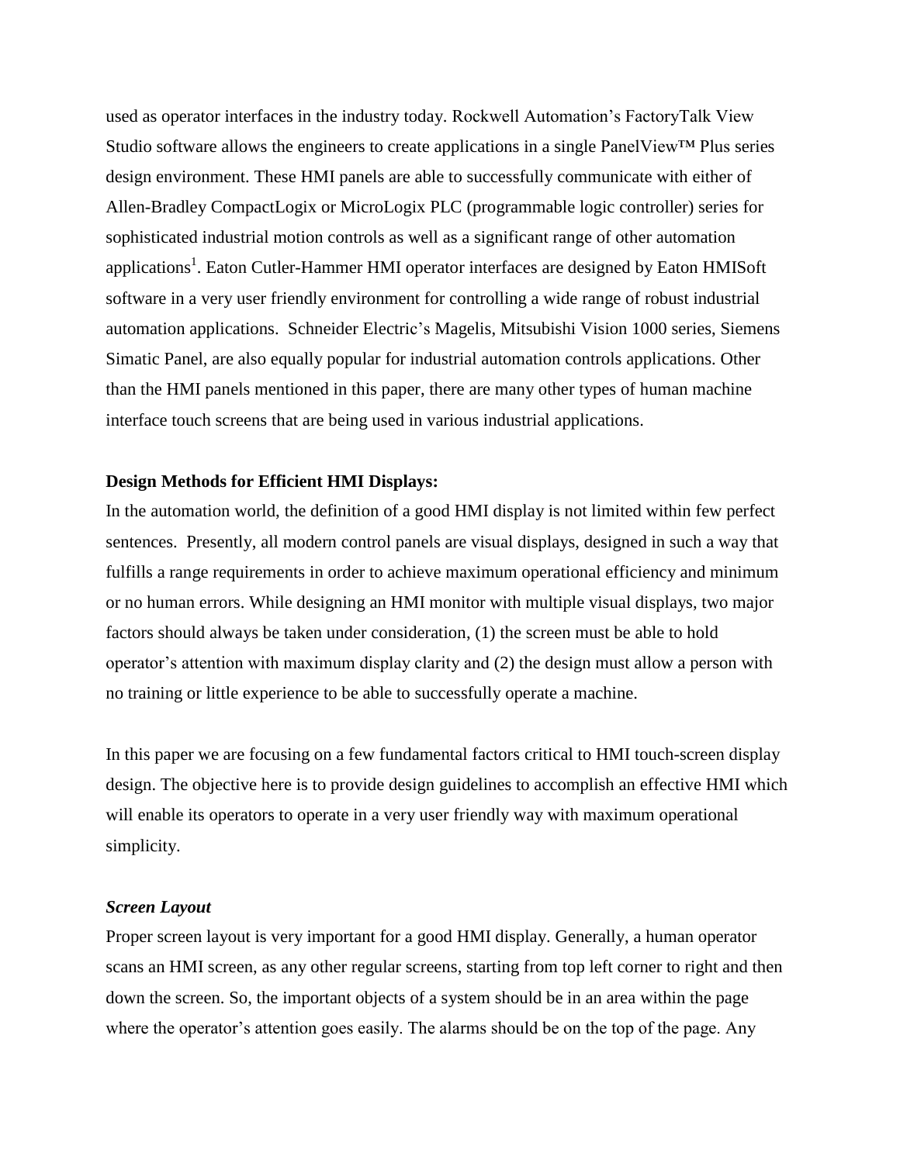used as operator interfaces in the industry today. Rockwell Automation's FactoryTalk View Studio software allows the engineers to create applications in a single PanelView™ Plus series design environment. These HMI panels are able to successfully communicate with either of Allen-Bradley CompactLogix or MicroLogix PLC (programmable logic controller) series for sophisticated industrial motion controls as well as a significant range of other automation applications<sup>1</sup>. Eaton Cutler-Hammer HMI operator interfaces are designed by Eaton HMISoft software in a very user friendly environment for controlling a wide range of robust industrial automation applications. Schneider Electric's Magelis, Mitsubishi Vision 1000 series, Siemens Simatic Panel, are also equally popular for industrial automation controls applications. Other than the HMI panels mentioned in this paper, there are many other types of human machine interface touch screens that are being used in various industrial applications.

### **Design Methods for Efficient HMI Displays:**

In the automation world, the definition of a good HMI display is not limited within few perfect sentences. Presently, all modern control panels are visual displays, designed in such a way that fulfills a range requirements in order to achieve maximum operational efficiency and minimum or no human errors. While designing an HMI monitor with multiple visual displays, two major factors should always be taken under consideration, (1) the screen must be able to hold operator's attention with maximum display clarity and (2) the design must allow a person with no training or little experience to be able to successfully operate a machine.

In this paper we are focusing on a few fundamental factors critical to HMI touch-screen display design. The objective here is to provide design guidelines to accomplish an effective HMI which will enable its operators to operate in a very user friendly way with maximum operational simplicity.

### *Screen Layout*

Proper screen layout is very important for a good HMI display. Generally, a human operator scans an HMI screen, as any other regular screens, starting from top left corner to right and then down the screen. So, the important objects of a system should be in an area within the page where the operator's attention goes easily. The alarms should be on the top of the page. Any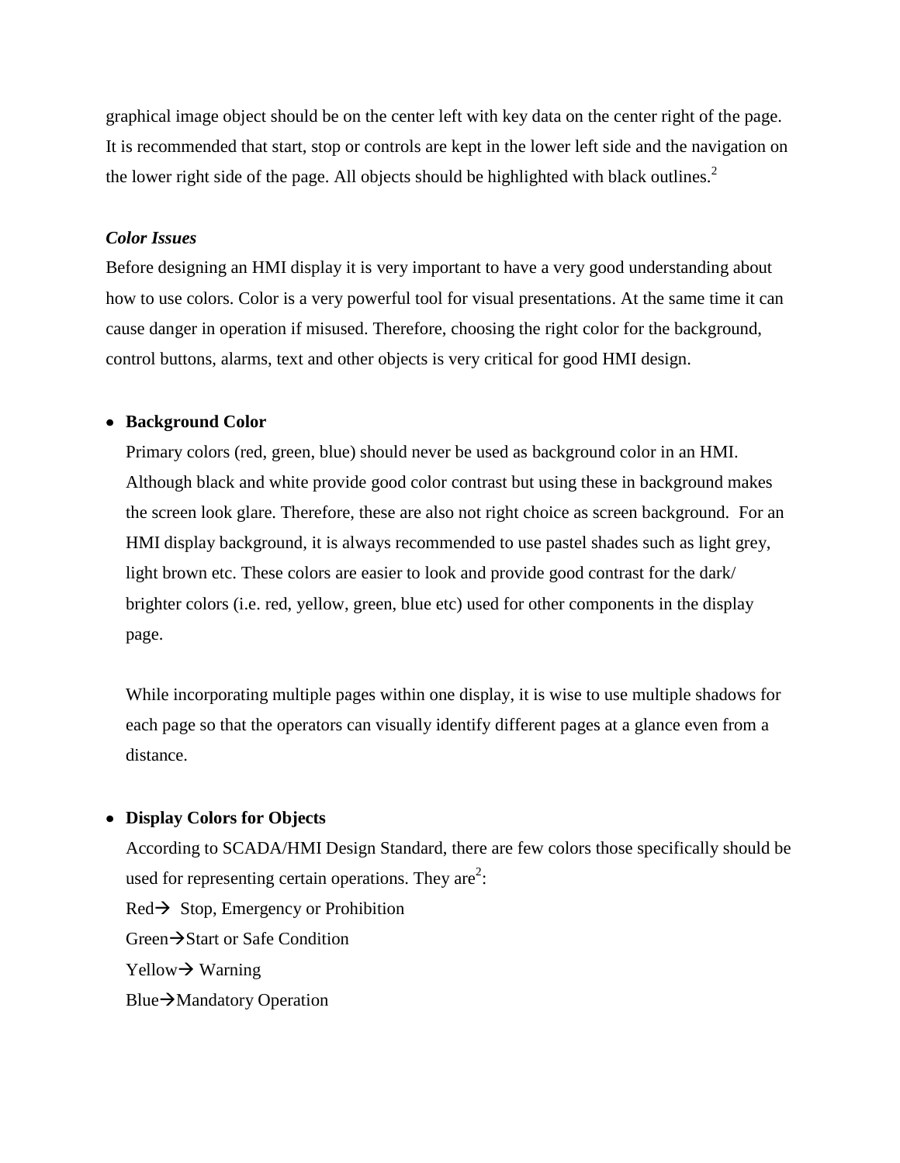graphical image object should be on the center left with key data on the center right of the page. It is recommended that start, stop or controls are kept in the lower left side and the navigation on the lower right side of the page. All objects should be highlighted with black outlines.<sup>2</sup>

## *Color Issues*

Before designing an HMI display it is very important to have a very good understanding about how to use colors. Color is a very powerful tool for visual presentations. At the same time it can cause danger in operation if misused. Therefore, choosing the right color for the background, control buttons, alarms, text and other objects is very critical for good HMI design.

### **Background Color**

Primary colors (red, green, blue) should never be used as background color in an HMI. Although black and white provide good color contrast but using these in background makes the screen look glare. Therefore, these are also not right choice as screen background. For an HMI display background, it is always recommended to use pastel shades such as light grey, light brown etc. These colors are easier to look and provide good contrast for the dark/ brighter colors (i.e. red, yellow, green, blue etc) used for other components in the display page.

While incorporating multiple pages within one display, it is wise to use multiple shadows for each page so that the operators can visually identify different pages at a glance even from a distance.

## **Display Colors for Objects**

According to SCADA/HMI Design Standard, there are few colors those specifically should be used for representing certain operations. They are<sup>2</sup>:  $Red\rightarrow$  Stop, Emergency or Prohibition Green $\rightarrow$ Start or Safe Condition  $Y$ ellow  $\rightarrow$  Warning Blue $\rightarrow$ Mandatory Operation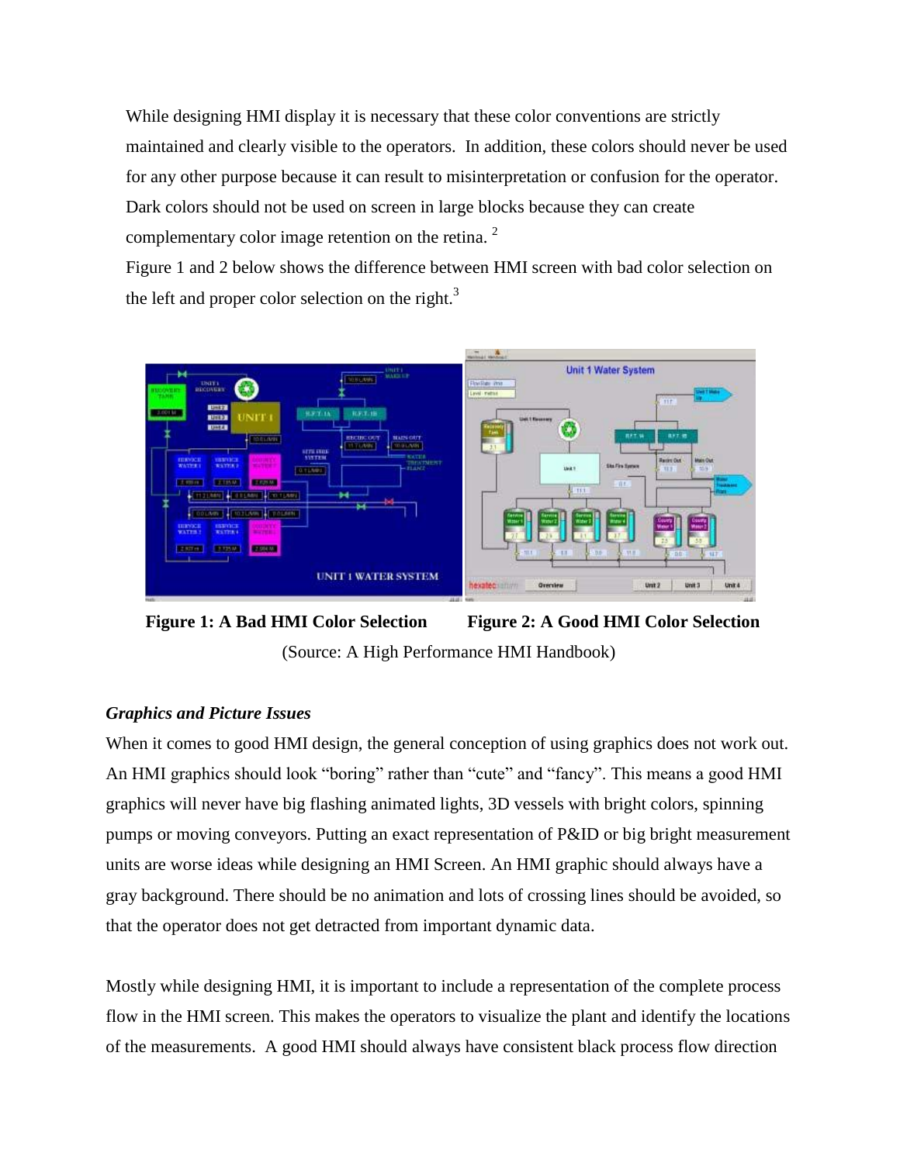While designing HMI display it is necessary that these color conventions are strictly maintained and clearly visible to the operators. In addition, these colors should never be used for any other purpose because it can result to misinterpretation or confusion for the operator. Dark colors should not be used on screen in large blocks because they can create complementary color image retention on the retina.<sup>2</sup>

Figure 1 and 2 below shows the difference between HMI screen with bad color selection on the left and proper color selection on the right. $3$ 





## *Graphics and Picture Issues*

When it comes to good HMI design, the general conception of using graphics does not work out. An HMI graphics should look "boring" rather than "cute" and "fancy". This means a good HMI graphics will never have big flashing animated lights, 3D vessels with bright colors, spinning pumps or moving conveyors. Putting an exact representation of P&ID or big bright measurement units are worse ideas while designing an HMI Screen. An HMI graphic should always have a gray background. There should be no animation and lots of crossing lines should be avoided, so that the operator does not get detracted from important dynamic data.

Mostly while designing HMI, it is important to include a representation of the complete process flow in the HMI screen. This makes the operators to visualize the plant and identify the locations of the measurements. A good HMI should always have consistent black process flow direction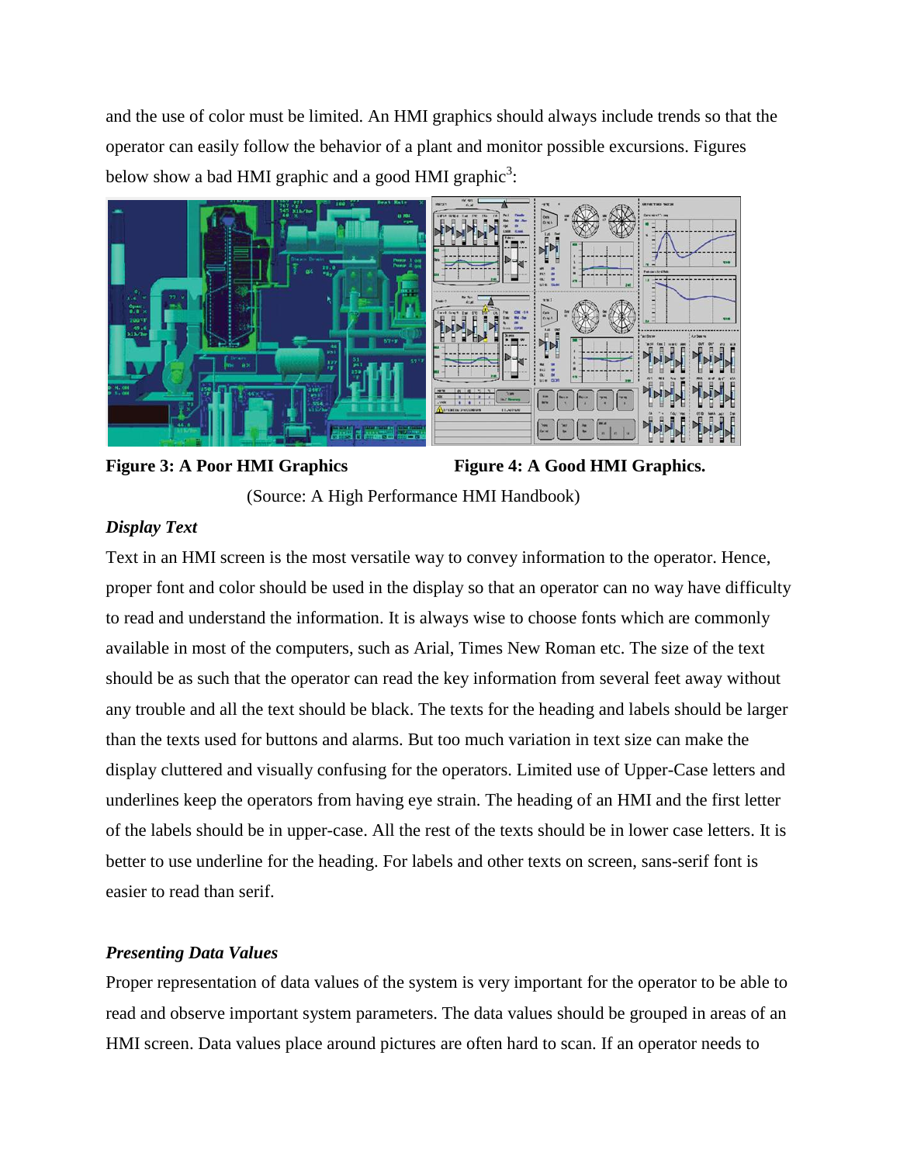and the use of color must be limited. An HMI graphics should always include trends so that the operator can easily follow the behavior of a plant and monitor possible excursions. Figures below show a bad HMI graphic and a good HMI graphic<sup>3</sup>:



# Figure 3: A Poor HMI Graphics Figure 4: A Good HMI Graphics. (Source: A High Performance HMI Handbook)

# *Display Text*

Text in an HMI screen is the most versatile way to convey information to the operator. Hence, proper font and color should be used in the display so that an operator can no way have difficulty to read and understand the information. It is always wise to choose fonts which are commonly available in most of the computers, such as Arial, Times New Roman etc. The size of the text should be as such that the operator can read the key information from several feet away without any trouble and all the text should be black. The texts for the heading and labels should be larger than the texts used for buttons and alarms. But too much variation in text size can make the display cluttered and visually confusing for the operators. Limited use of Upper-Case letters and underlines keep the operators from having eye strain. The heading of an HMI and the first letter of the labels should be in upper-case. All the rest of the texts should be in lower case letters. It is better to use underline for the heading. For labels and other texts on screen, sans-serif font is easier to read than serif.

# *Presenting Data Values*

Proper representation of data values of the system is very important for the operator to be able to read and observe important system parameters. The data values should be grouped in areas of an HMI screen. Data values place around pictures are often hard to scan. If an operator needs to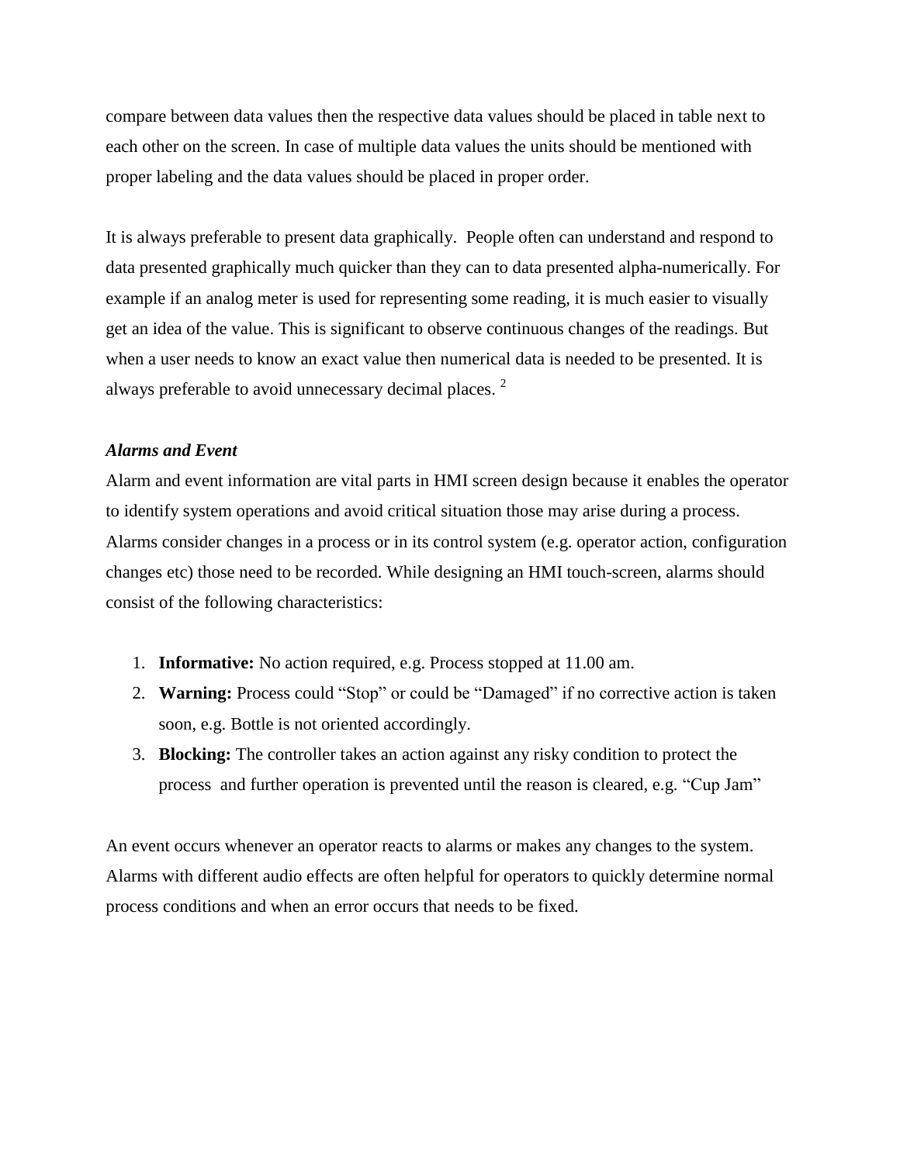compare between data values then the respective data values should be placed in table next to each other on the screen. In case of multiple data values the units should be mentioned with proper labeling and the data values should be placed in proper order.

It is always preferable to present data graphically. People often can understand and respond to data presented graphically much quicker than they can to data presented alpha-numerically. For example if an analog meter is used for representing some reading, it is much easier to visually get an idea of the value. This is significant to observe continuous changes of the readings. But when a user needs to know an exact value then numerical data is needed to be presented. It is always preferable to avoid unnecessary decimal places.<sup>2</sup>

### *Alarms and Event*

Alarm and event information are vital parts in HMI screen design because it enables the operator to identify system operations and avoid critical situation those may arise during a process. Alarms consider changes in a process or in its control system (e.g. operator action, configuration changes etc) those need to be recorded. While designing an HMI touch-screen, alarms should consist of the following characteristics:

- 1. **Informative:** No action required, e.g. Process stopped at 11.00 am.
- 2. **Warning:** Process could "Stop" or could be "Damaged" if no corrective action is taken soon, e.g. Bottle is not oriented accordingly.
- 3. **Blocking:** The controller takes an action against any risky condition to protect the process and further operation is prevented until the reason is cleared, e.g. "Cup Jam"

An event occurs whenever an operator reacts to alarms or makes any changes to the system. Alarms with different audio effects are often helpful for operators to quickly determine normal process conditions and when an error occurs that needs to be fixed.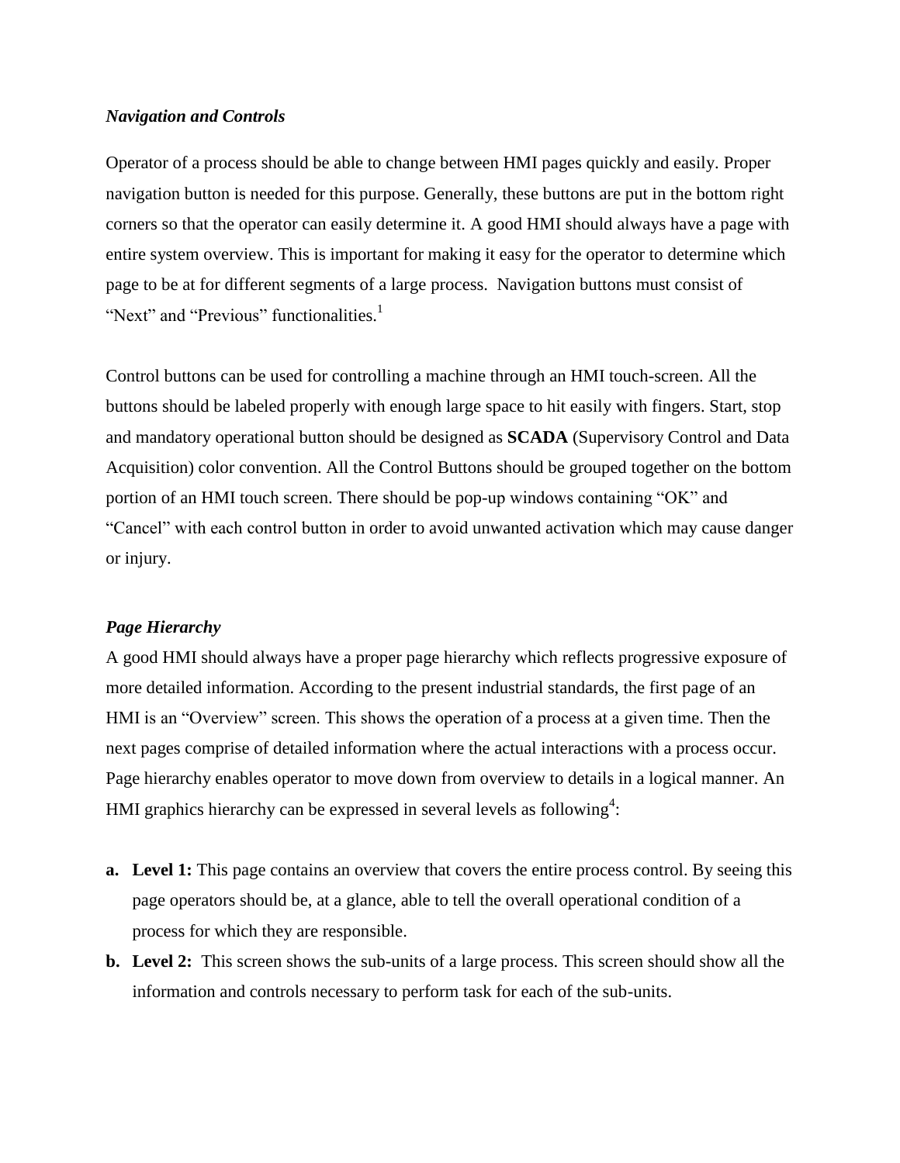## *Navigation and Controls*

Operator of a process should be able to change between HMI pages quickly and easily. Proper navigation button is needed for this purpose. Generally, these buttons are put in the bottom right corners so that the operator can easily determine it. A good HMI should always have a page with entire system overview. This is important for making it easy for the operator to determine which page to be at for different segments of a large process. Navigation buttons must consist of "Next" and "Previous" functionalities.<sup>1</sup>

Control buttons can be used for controlling a machine through an HMI touch-screen. All the buttons should be labeled properly with enough large space to hit easily with fingers. Start, stop and mandatory operational button should be designed as **SCADA** (Supervisory Control and Data Acquisition) color convention. All the Control Buttons should be grouped together on the bottom portion of an HMI touch screen. There should be pop-up windows containing "OK" and "Cancel" with each control button in order to avoid unwanted activation which may cause danger or injury.

### *Page Hierarchy*

A good HMI should always have a proper page hierarchy which reflects progressive exposure of more detailed information. According to the present industrial standards, the first page of an HMI is an "Overview" screen. This shows the operation of a process at a given time. Then the next pages comprise of detailed information where the actual interactions with a process occur. Page hierarchy enables operator to move down from overview to details in a logical manner. An HMI graphics hierarchy can be expressed in several levels as following<sup>4</sup>:

- **a.** Level 1: This page contains an overview that covers the entire process control. By seeing this page operators should be, at a glance, able to tell the overall operational condition of a process for which they are responsible.
- **b. Level 2:** This screen shows the sub-units of a large process. This screen should show all the information and controls necessary to perform task for each of the sub-units.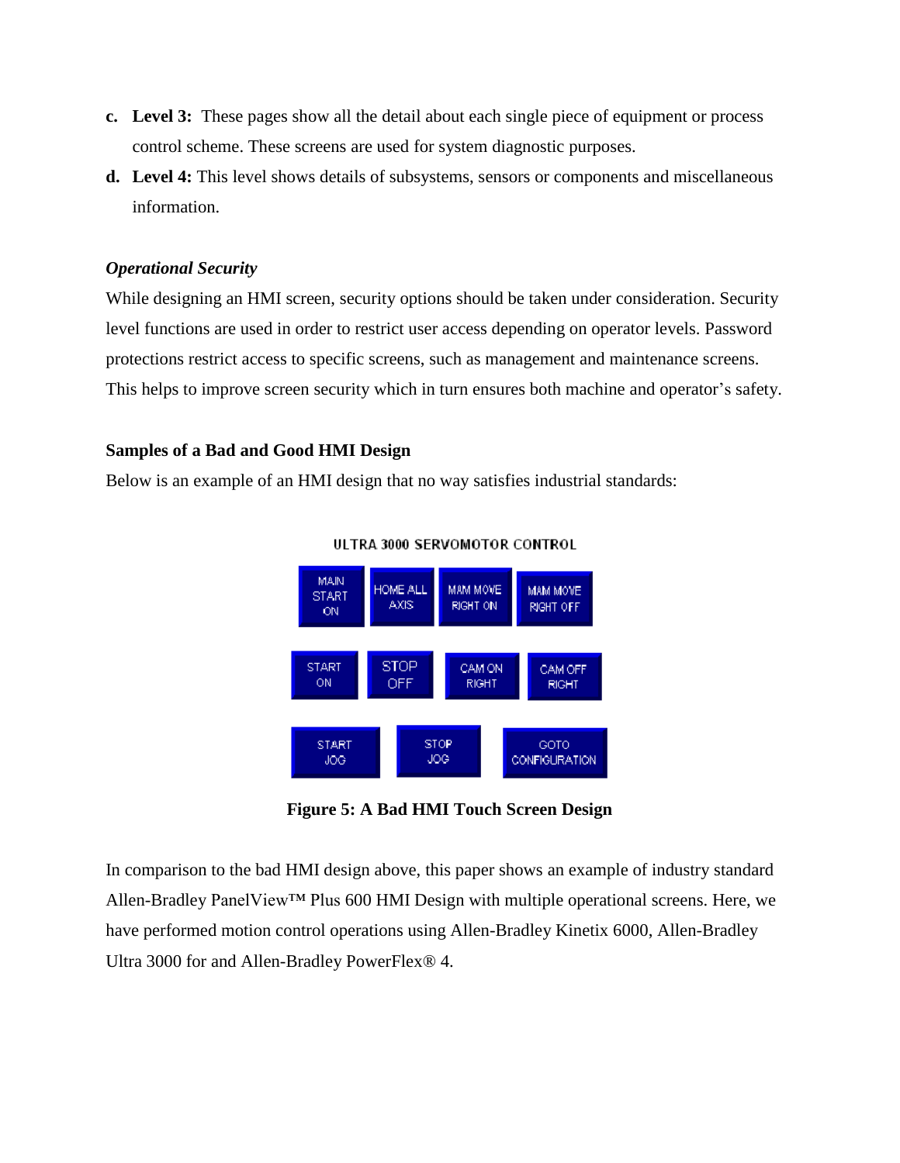- **c. Level 3:** These pages show all the detail about each single piece of equipment or process control scheme. These screens are used for system diagnostic purposes.
- **d. Level 4:** This level shows details of subsystems, sensors or components and miscellaneous information.

## *Operational Security*

While designing an HMI screen, security options should be taken under consideration. Security level functions are used in order to restrict user access depending on operator levels. Password protections restrict access to specific screens, such as management and maintenance screens. This helps to improve screen security which in turn ensures both machine and operator's safety.

### **Samples of a Bad and Good HMI Design**

Below is an example of an HMI design that no way satisfies industrial standards:



ULTRA 3000 SERVOMOTOR CONTROL

**Figure 5: A Bad HMI Touch Screen Design**

In comparison to the bad HMI design above, this paper shows an example of industry standard Allen-Bradley PanelView™ Plus 600 HMI Design with multiple operational screens. Here, we have performed motion control operations using Allen-Bradley Kinetix 6000, Allen-Bradley Ultra 3000 for and Allen-Bradley PowerFlex® 4.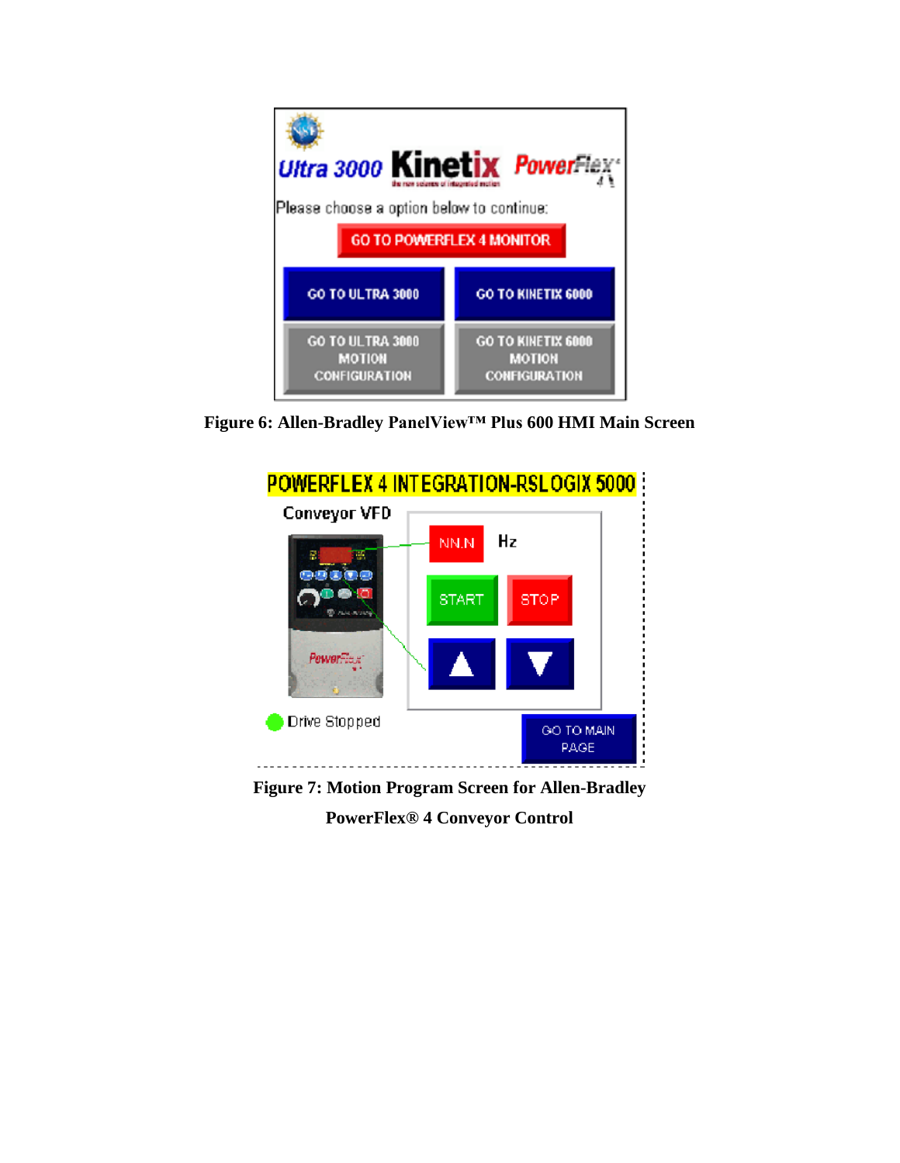

**Figure 6: Allen-Bradley PanelView™ Plus 600 HMI Main Screen**



**Figure 7: Motion Program Screen for Allen-Bradley PowerFlex® 4 Conveyor Control**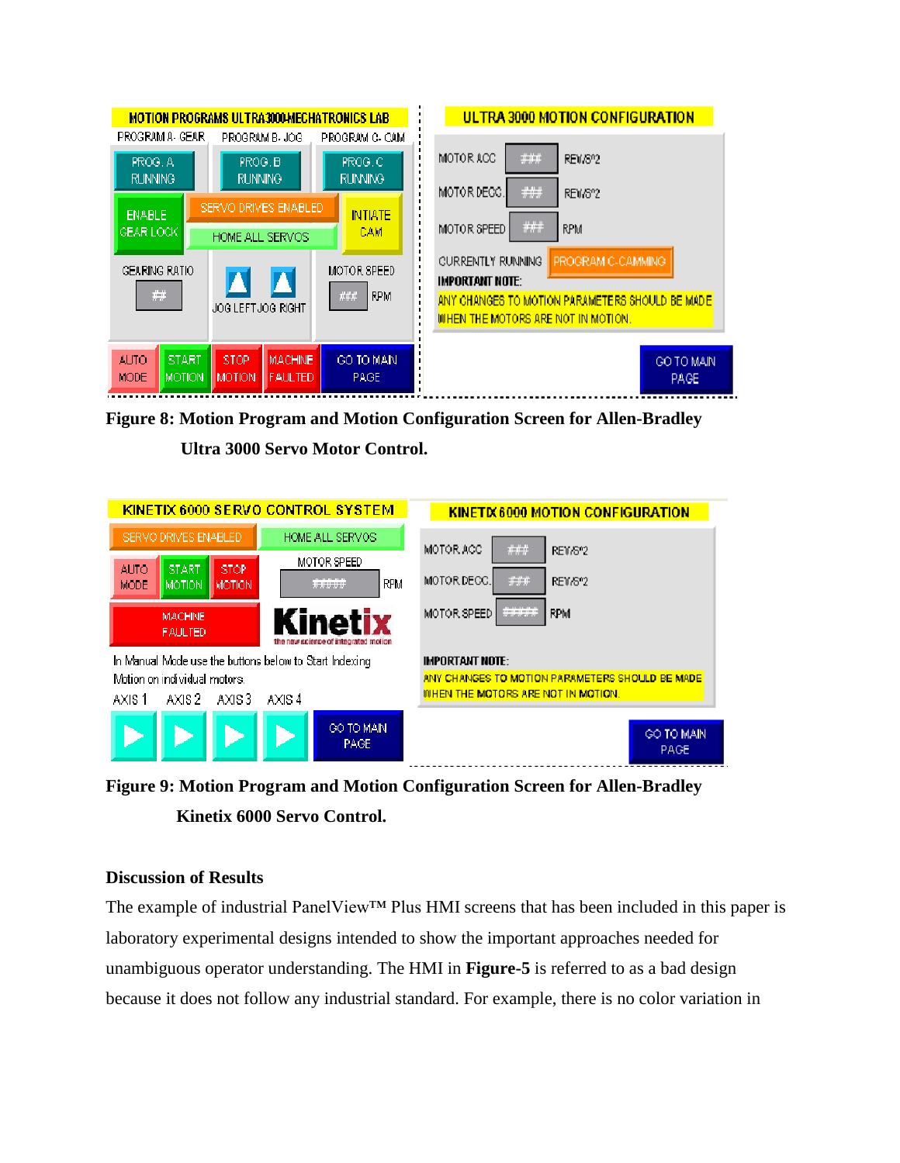|                                                          | <b>MOTION PROGRAMS ULTRA3000-MECHATRONICS LAB</b> |                    | ULTRA 3000 MOTION CONFIGURATION                  |
|----------------------------------------------------------|---------------------------------------------------|--------------------|--------------------------------------------------|
| PROGRAM A-GEAR-                                          | PROGRAM B-JOG                                     | PROGRAM C- CAM     |                                                  |
| PROG. A                                                  | PROG. B                                           | PROG. C            | $\# \# \#$<br>MOTOR ACC<br>REV/802               |
| <b>RUNNING</b>                                           | <b>RUNNING</b>                                    | RUNNING.           | ###<br>MOTOR DECC.<br><b>REV/6°2</b>             |
| SERVO DRIVES ENABLED<br><b>ENABLE</b><br><b>INITIATE</b> |                                                   |                    |                                                  |
| IGEAR LOCK I                                             | HOME ALL SERVOS                                   | CAM                | $\# \# \#$<br><b>RPM</b><br>MOTOR SPEED.         |
| GEARING RATIO                                            |                                                   | <b>MOTOR SPEED</b> | <b>CURRENTLY RUNNING</b><br>PROGRAM C-CAMMING.   |
|                                                          |                                                   |                    | IMPORTANT NOTE:                                  |
| $\#$                                                     | ###<br><b>RPM</b><br>JOG LEFT JOG RIGHT           |                    | ANY CHANGES TO MOTION PARAMETERS SHOULD BE MADE. |
|                                                          |                                                   |                    | WHEN THE MOTORS ARE NOT IN MOTION.               |
| <b>START</b><br><b>ALITO</b>                             | <b>STOP</b><br><b>MACHINE</b>                     | GO TO MAIN.        | GO TO MAIN                                       |
| MOTION.<br><b>MODE</b>                                   | <b>FAULTED</b><br><b>MOTION</b>                   | <b>PAGE</b>        | PAGE.                                            |
|                                                          |                                                   |                    |                                                  |

**Figure 8: Motion Program and Motion Configuration Screen for Allen-Bradley** 



| KINETIX 6000 SERVO CONTROL SYSTEM                      |                                      | <b>KINETIX 6000 MOTION CONFIGURATION</b>         |
|--------------------------------------------------------|--------------------------------------|--------------------------------------------------|
| SERVO DRIVES ENABLED                                   | HOME ALL SERVOS                      | ###<br>MOTOR ACC<br>RE1/8"2                      |
| <b>START</b><br><b>STOP</b><br><b>AUTO</b>             | MOTOR SPEED                          |                                                  |
| <b>MODE</b><br>MOTION I<br><b>MOTION</b>               | <i>*****</i><br><b>RPM</b>           | ###<br>MOTOR DECC.<br>RE1/8"2                    |
| <b>MACHINE</b>                                         | Kinetix                              | *****<br><b>RPM</b><br>MOTOR SPEED               |
| <b>FAULTED</b>                                         | the new science of integrated motion |                                                  |
| In Manual Mode use the buttons below to Start Indexing |                                      | <b>IMPORTANT NOTE:</b>                           |
| Motion on individual motors.                           |                                      | ANY CHANGES TO MOTION PARAMETERS SHOULD BE MADE. |
| AXIS 2<br>AXIS 3<br>AXIS 1                             | AXIS 4                               | WHEN THE MOTORS ARE NOT IN MOTION.               |
|                                                        | GO TO MAIN.<br>PAGE.                 | GO TO MAIN<br><b>PAGE</b>                        |

**Figure 9: Motion Program and Motion Configuration Screen for Allen-Bradley Kinetix 6000 Servo Control.**

## **Discussion of Results**

The example of industrial PanelView™ Plus HMI screens that has been included in this paper is laboratory experimental designs intended to show the important approaches needed for unambiguous operator understanding. The HMI in **Figure-5** is referred to as a bad design because it does not follow any industrial standard. For example, there is no color variation in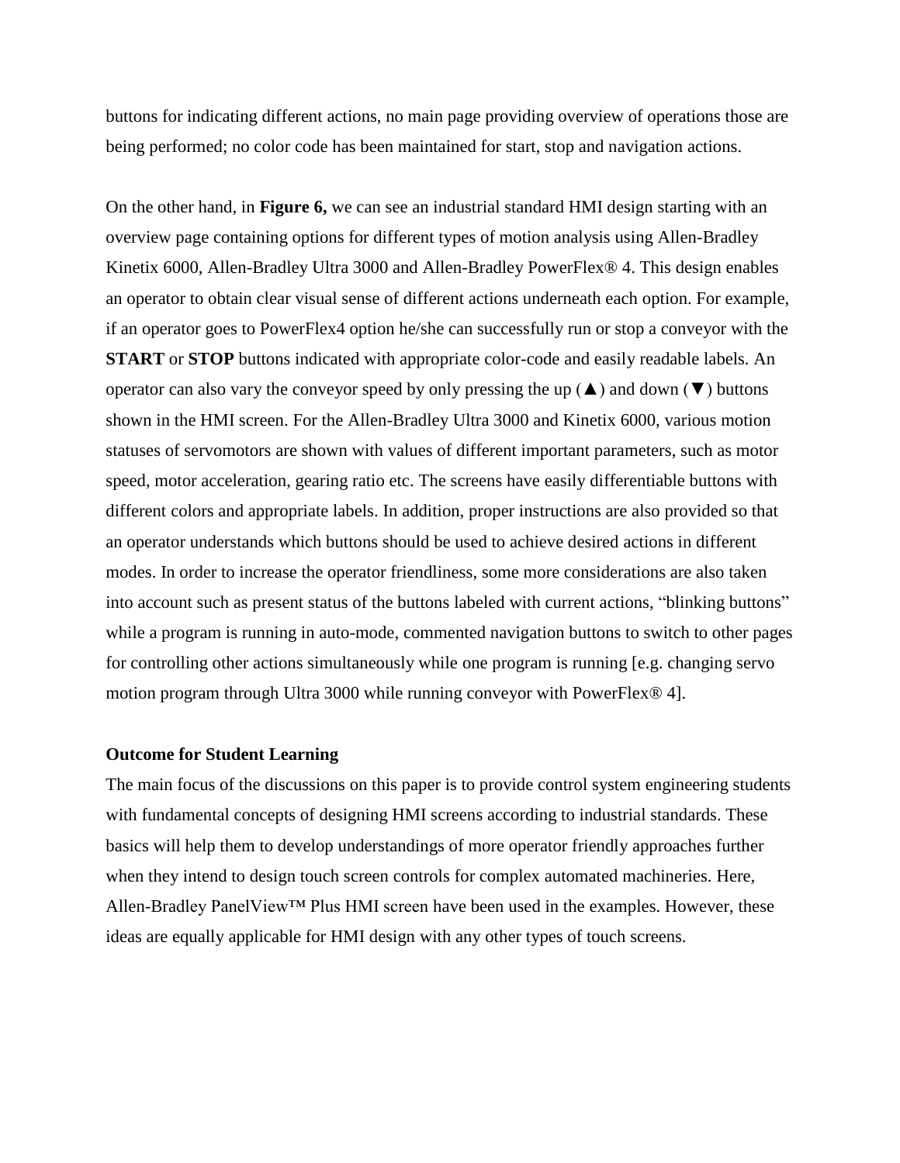buttons for indicating different actions, no main page providing overview of operations those are being performed; no color code has been maintained for start, stop and navigation actions.

On the other hand, in **Figure 6,** we can see an industrial standard HMI design starting with an overview page containing options for different types of motion analysis using Allen-Bradley Kinetix 6000, Allen-Bradley Ultra 3000 and Allen-Bradley PowerFlex® 4. This design enables an operator to obtain clear visual sense of different actions underneath each option. For example, if an operator goes to PowerFlex4 option he/she can successfully run or stop a conveyor with the **START** or **STOP** buttons indicated with appropriate color-code and easily readable labels. An operator can also vary the conveyor speed by only pressing the up  $(\triangle)$  and down  $(\blacktriangledown)$  buttons shown in the HMI screen. For the Allen-Bradley Ultra 3000 and Kinetix 6000, various motion statuses of servomotors are shown with values of different important parameters, such as motor speed, motor acceleration, gearing ratio etc. The screens have easily differentiable buttons with different colors and appropriate labels. In addition, proper instructions are also provided so that an operator understands which buttons should be used to achieve desired actions in different modes. In order to increase the operator friendliness, some more considerations are also taken into account such as present status of the buttons labeled with current actions, "blinking buttons" while a program is running in auto-mode, commented navigation buttons to switch to other pages for controlling other actions simultaneously while one program is running [e.g. changing servo motion program through Ultra 3000 while running conveyor with PowerFlex® 4].

## **Outcome for Student Learning**

The main focus of the discussions on this paper is to provide control system engineering students with fundamental concepts of designing HMI screens according to industrial standards. These basics will help them to develop understandings of more operator friendly approaches further when they intend to design touch screen controls for complex automated machineries. Here, Allen-Bradley PanelView™ Plus HMI screen have been used in the examples. However, these ideas are equally applicable for HMI design with any other types of touch screens.